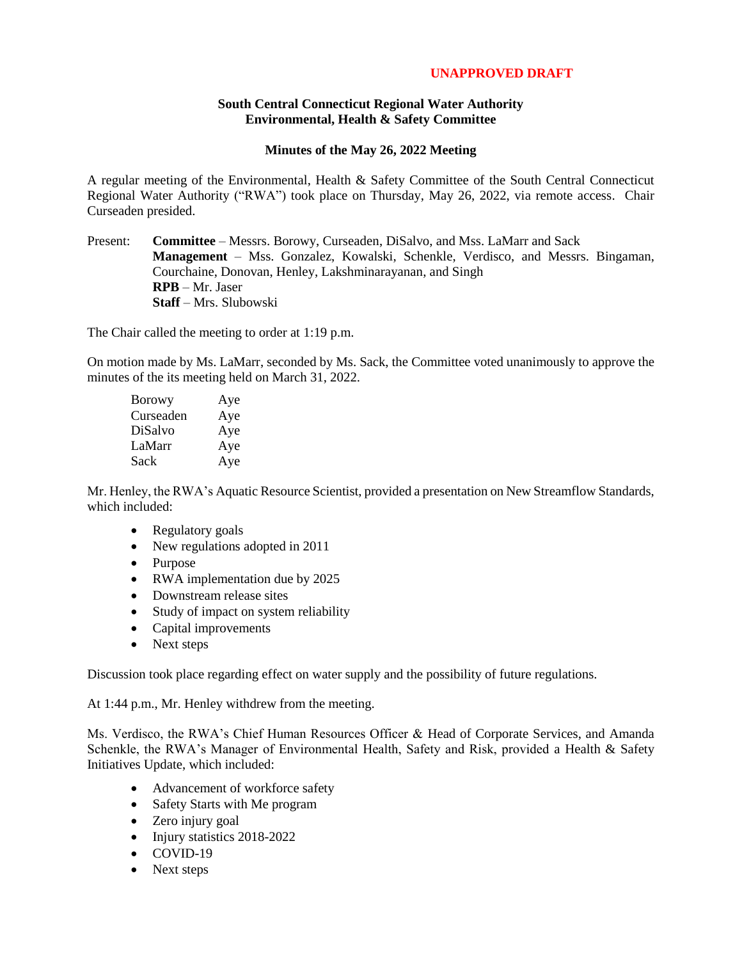## **UNAPPROVED DRAFT**

## **South Central Connecticut Regional Water Authority Environmental, Health & Safety Committee**

## **Minutes of the May 26, 2022 Meeting**

A regular meeting of the Environmental, Health & Safety Committee of the South Central Connecticut Regional Water Authority ("RWA") took place on Thursday, May 26, 2022, via remote access. Chair Curseaden presided.

Present: **Committee** – Messrs. Borowy, Curseaden, DiSalvo, and Mss. LaMarr and Sack **Management** – Mss. Gonzalez, Kowalski, Schenkle, Verdisco, and Messrs. Bingaman, Courchaine, Donovan, Henley, Lakshminarayanan, and Singh **RPB** – Mr. Jaser **Staff** – Mrs. Slubowski

The Chair called the meeting to order at 1:19 p.m.

On motion made by Ms. LaMarr, seconded by Ms. Sack, the Committee voted unanimously to approve the minutes of the its meeting held on March 31, 2022.

| <b>Borowy</b> | Aye |
|---------------|-----|
| Curseaden     | Aye |
| DiSalvo       | Aye |
| LaMarr        | Aye |
| Sack          | Aye |

Mr. Henley, the RWA's Aquatic Resource Scientist, provided a presentation on New Streamflow Standards, which included:

- Regulatory goals
- New regulations adopted in 2011
- Purpose
- RWA implementation due by 2025
- Downstream release sites
- Study of impact on system reliability
- Capital improvements
- Next steps

Discussion took place regarding effect on water supply and the possibility of future regulations.

At 1:44 p.m., Mr. Henley withdrew from the meeting.

Ms. Verdisco, the RWA's Chief Human Resources Officer & Head of Corporate Services, and Amanda Schenkle, the RWA's Manager of Environmental Health, Safety and Risk, provided a Health & Safety Initiatives Update, which included:

- Advancement of workforce safety
- Safety Starts with Me program
- Zero injury goal
- Injury statistics 2018-2022
- COVID-19
- Next steps